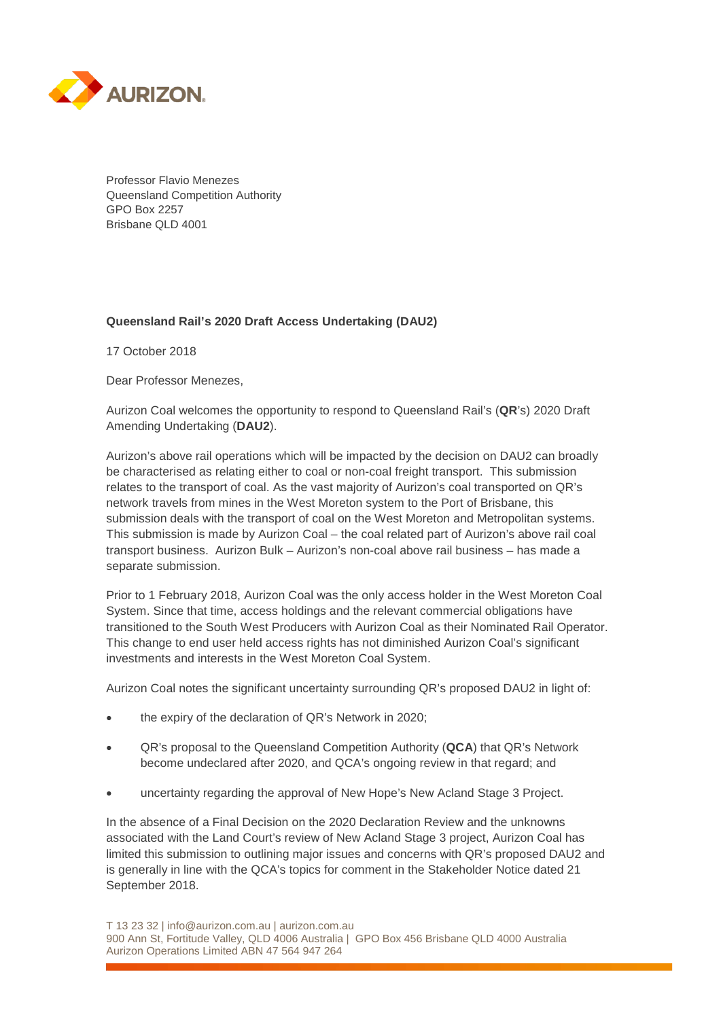

Professor Flavio Menezes Queensland Competition Authority GPO Box 2257 Brisbane QLD 4001

# **Queensland Rail's 2020 Draft Access Undertaking (DAU2)**

17 October 2018

Dear Professor Menezes,

Aurizon Coal welcomes the opportunity to respond to Queensland Rail's (**QR**'s) 2020 Draft Amending Undertaking (**DAU2**).

Aurizon's above rail operations which will be impacted by the decision on DAU2 can broadly be characterised as relating either to coal or non-coal freight transport. This submission relates to the transport of coal. As the vast majority of Aurizon's coal transported on QR's network travels from mines in the West Moreton system to the Port of Brisbane, this submission deals with the transport of coal on the West Moreton and Metropolitan systems. This submission is made by Aurizon Coal – the coal related part of Aurizon's above rail coal transport business. Aurizon Bulk – Aurizon's non-coal above rail business – has made a separate submission.

Prior to 1 February 2018, Aurizon Coal was the only access holder in the West Moreton Coal System. Since that time, access holdings and the relevant commercial obligations have transitioned to the South West Producers with Aurizon Coal as their Nominated Rail Operator. This change to end user held access rights has not diminished Aurizon Coal's significant investments and interests in the West Moreton Coal System.

Aurizon Coal notes the significant uncertainty surrounding QR's proposed DAU2 in light of:

- the expiry of the declaration of QR's Network in 2020;
- QR's proposal to the Queensland Competition Authority (**QCA**) that QR's Network become undeclared after 2020, and QCA's ongoing review in that regard; and
- uncertainty regarding the approval of New Hope's New Acland Stage 3 Project.

In the absence of a Final Decision on the 2020 Declaration Review and the unknowns associated with the Land Court's review of New Acland Stage 3 project, Aurizon Coal has limited this submission to outlining major issues and concerns with QR's proposed DAU2 and is generally in line with the QCA's topics for comment in the Stakeholder Notice dated 21 September 2018.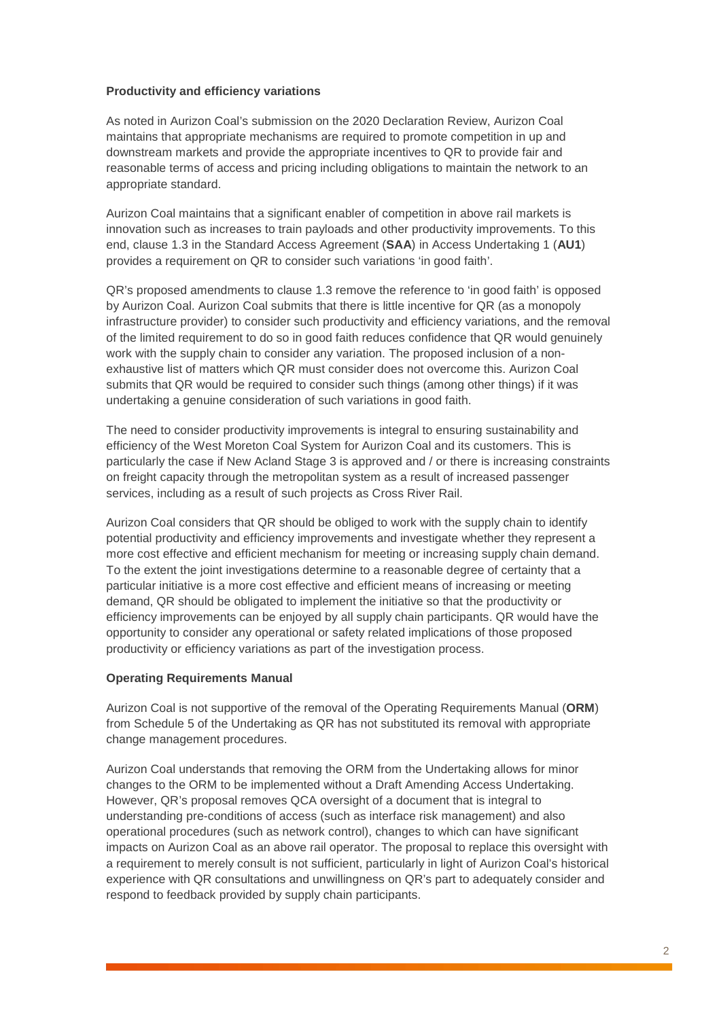# **Productivity and efficiency variations**

As noted in Aurizon Coal's submission on the 2020 Declaration Review, Aurizon Coal maintains that appropriate mechanisms are required to promote competition in up and downstream markets and provide the appropriate incentives to QR to provide fair and reasonable terms of access and pricing including obligations to maintain the network to an appropriate standard.

Aurizon Coal maintains that a significant enabler of competition in above rail markets is innovation such as increases to train payloads and other productivity improvements. To this end, clause 1.3 in the Standard Access Agreement (**SAA**) in Access Undertaking 1 (**AU1**) provides a requirement on QR to consider such variations 'in good faith'.

QR's proposed amendments to clause 1.3 remove the reference to 'in good faith' is opposed by Aurizon Coal. Aurizon Coal submits that there is little incentive for QR (as a monopoly infrastructure provider) to consider such productivity and efficiency variations, and the removal of the limited requirement to do so in good faith reduces confidence that QR would genuinely work with the supply chain to consider any variation. The proposed inclusion of a nonexhaustive list of matters which QR must consider does not overcome this. Aurizon Coal submits that QR would be required to consider such things (among other things) if it was undertaking a genuine consideration of such variations in good faith.

The need to consider productivity improvements is integral to ensuring sustainability and efficiency of the West Moreton Coal System for Aurizon Coal and its customers. This is particularly the case if New Acland Stage 3 is approved and / or there is increasing constraints on freight capacity through the metropolitan system as a result of increased passenger services, including as a result of such projects as Cross River Rail.

Aurizon Coal considers that QR should be obliged to work with the supply chain to identify potential productivity and efficiency improvements and investigate whether they represent a more cost effective and efficient mechanism for meeting or increasing supply chain demand. To the extent the joint investigations determine to a reasonable degree of certainty that a particular initiative is a more cost effective and efficient means of increasing or meeting demand, QR should be obligated to implement the initiative so that the productivity or efficiency improvements can be enjoyed by all supply chain participants. QR would have the opportunity to consider any operational or safety related implications of those proposed productivity or efficiency variations as part of the investigation process.

# **Operating Requirements Manual**

Aurizon Coal is not supportive of the removal of the Operating Requirements Manual (**ORM**) from Schedule 5 of the Undertaking as QR has not substituted its removal with appropriate change management procedures.

Aurizon Coal understands that removing the ORM from the Undertaking allows for minor changes to the ORM to be implemented without a Draft Amending Access Undertaking. However, QR's proposal removes QCA oversight of a document that is integral to understanding pre-conditions of access (such as interface risk management) and also operational procedures (such as network control), changes to which can have significant impacts on Aurizon Coal as an above rail operator. The proposal to replace this oversight with a requirement to merely consult is not sufficient, particularly in light of Aurizon Coal's historical experience with QR consultations and unwillingness on QR's part to adequately consider and respond to feedback provided by supply chain participants.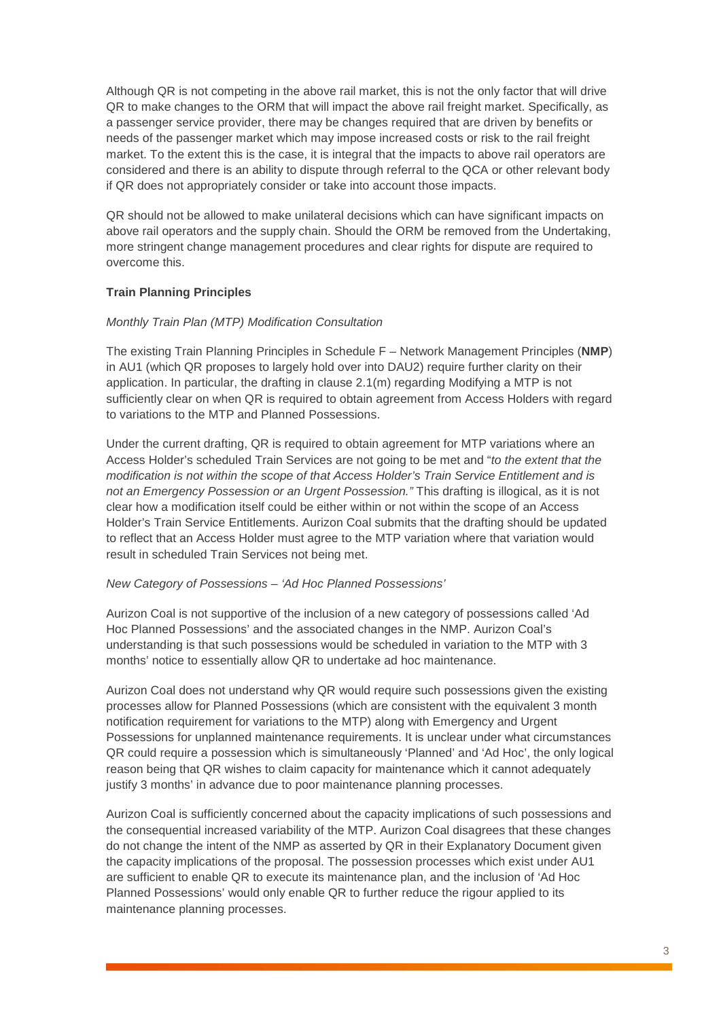Although QR is not competing in the above rail market, this is not the only factor that will drive QR to make changes to the ORM that will impact the above rail freight market. Specifically, as a passenger service provider, there may be changes required that are driven by benefits or needs of the passenger market which may impose increased costs or risk to the rail freight market. To the extent this is the case, it is integral that the impacts to above rail operators are considered and there is an ability to dispute through referral to the QCA or other relevant body if QR does not appropriately consider or take into account those impacts.

QR should not be allowed to make unilateral decisions which can have significant impacts on above rail operators and the supply chain. Should the ORM be removed from the Undertaking, more stringent change management procedures and clear rights for dispute are required to overcome this.

# **Train Planning Principles**

# *Monthly Train Plan (MTP) Modification Consultation*

The existing Train Planning Principles in Schedule F – Network Management Principles (**NMP**) in AU1 (which QR proposes to largely hold over into DAU2) require further clarity on their application. In particular, the drafting in clause 2.1(m) regarding Modifying a MTP is not sufficiently clear on when QR is required to obtain agreement from Access Holders with regard to variations to the MTP and Planned Possessions.

Under the current drafting, QR is required to obtain agreement for MTP variations where an Access Holder's scheduled Train Services are not going to be met and "*to the extent that the modification is not within the scope of that Access Holder's Train Service Entitlement and is not an Emergency Possession or an Urgent Possession."* This drafting is illogical, as it is not clear how a modification itself could be either within or not within the scope of an Access Holder's Train Service Entitlements. Aurizon Coal submits that the drafting should be updated to reflect that an Access Holder must agree to the MTP variation where that variation would result in scheduled Train Services not being met.

# *New Category of Possessions – 'Ad Hoc Planned Possessions'*

Aurizon Coal is not supportive of the inclusion of a new category of possessions called 'Ad Hoc Planned Possessions' and the associated changes in the NMP. Aurizon Coal's understanding is that such possessions would be scheduled in variation to the MTP with 3 months' notice to essentially allow QR to undertake ad hoc maintenance.

Aurizon Coal does not understand why QR would require such possessions given the existing processes allow for Planned Possessions (which are consistent with the equivalent 3 month notification requirement for variations to the MTP) along with Emergency and Urgent Possessions for unplanned maintenance requirements. It is unclear under what circumstances QR could require a possession which is simultaneously 'Planned' and 'Ad Hoc', the only logical reason being that QR wishes to claim capacity for maintenance which it cannot adequately justify 3 months' in advance due to poor maintenance planning processes.

Aurizon Coal is sufficiently concerned about the capacity implications of such possessions and the consequential increased variability of the MTP. Aurizon Coal disagrees that these changes do not change the intent of the NMP as asserted by QR in their Explanatory Document given the capacity implications of the proposal. The possession processes which exist under AU1 are sufficient to enable QR to execute its maintenance plan, and the inclusion of 'Ad Hoc Planned Possessions' would only enable QR to further reduce the rigour applied to its maintenance planning processes.